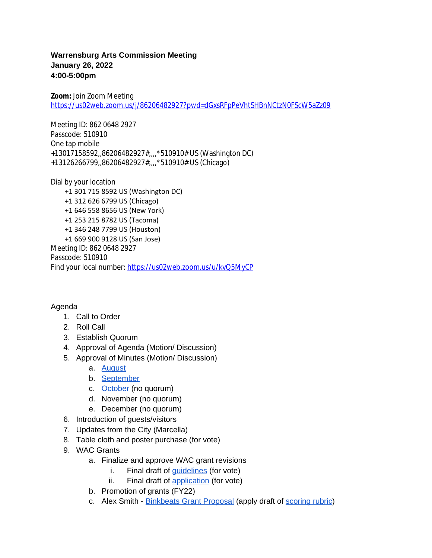## **Warrensburg Arts Commission Meeting January 26, 2022 4:00-5:00pm**

**Zoom:** Join Zoom Meeting <https://us02web.zoom.us/j/86206482927?pwd=dGxsRFpPeVhtSHBnNCtzN0FScW5aZz09>

Meeting ID: 862 0648 2927 Passcode: 510910 One tap mobile +13017158592,,86206482927#,,,,\*510910# US (Washington DC) +13126266799,,86206482927#,,,,\*510910# US (Chicago)

Dial by your location +1 301 715 8592 US (Washington DC) +1 312 626 6799 US (Chicago) +1 646 558 8656 US (New York) +1 253 215 8782 US (Tacoma) +1 346 248 7799 US (Houston) +1 669 900 9128 US (San Jose) Meeting ID: 862 0648 2927 Passcode: 510910 Find your local number: <https://us02web.zoom.us/u/kvQ5MyCP>

## Agenda

- 1. Call to Order
- 2. Roll Call
- 3. Establish Quorum
- 4. Approval of Agenda (Motion/ Discussion)
- 5. Approval of Minutes (Motion/ Discussion)
	- a. [August](https://docs.google.com/document/d/1nzUt_zhPoDqzsGi_snTmD6QFbGjz6ltK/edit?usp=sharing&ouid=109847559236638887689&rtpof=true&sd=true)
	- b. [September](https://docs.google.com/document/d/15DPKXKE2SYmcoFhDruBSYWjQPwoDoVx2/edit?usp=sharing&ouid=109847559236638887689&rtpof=true&sd=true)
	- c. [October](https://docs.google.com/document/d/1d76QMn3k9R4kdPwkLSnyqu6Dzyc6eh63zVcfU2PAonw/edit?usp=sharing) (no quorum)
	- d. November (no quorum)
	- e. December (no quorum)
- 6. Introduction of guests/visitors
- 7. Updates from the City (Marcella)
- 8. Table cloth and poster purchase (for vote)
- 9. WAC Grants
	- a. Finalize and approve WAC grant revisions
		- i. Final draft of *guidelines* (for vote)
		- ii. Final draft of [application](https://docs.google.com/document/d/1Ibdn0lDGBONLUZlm234xM-rewtlpMHlCJXEgMJMT2VM/edit?usp=sharing) (for vote)
	- b. Promotion of grants (FY22)
	- c. Alex Smith - [Binkbeats Grant Proposal \(apply draft of](https://drive.google.com/file/d/1chmwtz_jaLCa8jazIl0d3ZoSK_YVcLyB/view?usp=sharing) [scoring rubric](https://docs.google.com/spreadsheets/d/1mT1B4PoVin8-xktuitWaMPZmVC8Q9zD2/edit?usp=sharing&ouid=109847559236638887689&rtpof=true&sd=true))